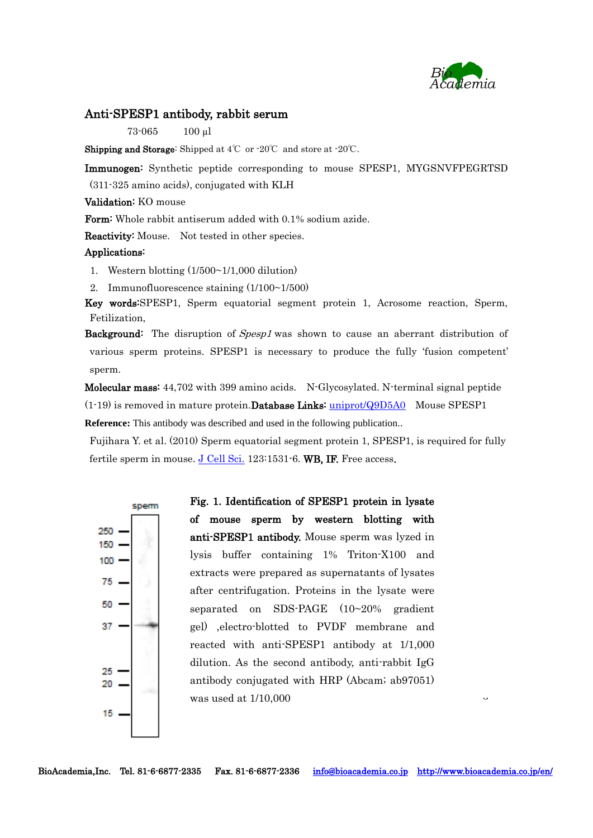

 $\ddot{\phantom{0}}$ 

## Anti-SPESP1 antibody, rabbit serum

73-065 100 µl

Shipping and Storage: Shipped at 4℃ or -20℃ and store at -20℃.

Immunogen: Synthetic peptide corresponding to mouse SPESP1, MYGSNVFPEGRTSD

(311-325 amino acids), conjugated with KLH

## Validation: KO mouse

Form: Whole rabbit antiserum added with 0.1% sodium azide.

Reactivity: Mouse. Not tested in other species.

## Applications:

1. Western blotting (1/500~1/1,000 dilution)

2. Immunofluorescence staining (1/100~1/500)

Key words:SPESP1, Sperm equatorial segment protein 1, Acrosome reaction, Sperm, Fetilization,

Background: The disruption of Spesp1 was shown to cause an aberrant distribution of various sperm proteins. SPESP1 is necessary to produce the fully 'fusion competent' sperm.

Molecular mass: 44,702 with 399 amino acids. N-Glycosylated. N-terminal signal peptide  $(1-19)$  is removed in mature protein. **Database Links:** [uniprot/Q9D5A0](http://www.uniprot.org/uniprot/Q9D5A0) Mouse SPESP1 **Reference:** This antibody was described and used in the following publication..

Fujihara Y. et al. (2010) Sperm equatorial segment protein 1, SPESP1, is required for fully fertile sperm in mouse.  $J$  Cell Sci. 123:1531-6. WB, IF. Free access.



Fig. 1. Identification of SPESP1 protein in lysate of mouse sperm by western blotting with anti-SPESP1 antibody. Mouse sperm was lyzed in lysis buffer containing 1% Triton-X100 and extracts were prepared as supernatants of lysates after centrifugation. Proteins in the lysate were separated on SDS-PAGE (10~20% gradient gel) ,electro-blotted to PVDF membrane and reacted with anti-SPESP1 antibody at 1/1,000 dilution. As the second antibody, anti-rabbit IgG antibody conjugated with HRP (Abcam; ab97051) was used at 1/10,000